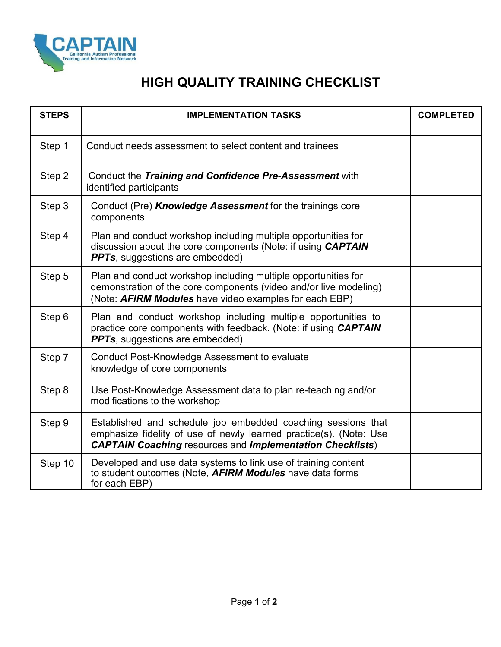

## **HIGH QUALITY TRAINING CHECKLIST**

| <b>STEPS</b> | <b>IMPLEMENTATION TASKS</b>                                                                                                                                                                            | <b>COMPLETED</b> |
|--------------|--------------------------------------------------------------------------------------------------------------------------------------------------------------------------------------------------------|------------------|
| Step 1       | Conduct needs assessment to select content and trainees                                                                                                                                                |                  |
| Step 2       | Conduct the Training and Confidence Pre-Assessment with<br>identified participants                                                                                                                     |                  |
| Step 3       | Conduct (Pre) Knowledge Assessment for the trainings core<br>components                                                                                                                                |                  |
| Step 4       | Plan and conduct workshop including multiple opportunities for<br>discussion about the core components (Note: if using CAPTAIN<br><b>PPTs</b> , suggestions are embedded)                              |                  |
| Step 5       | Plan and conduct workshop including multiple opportunities for<br>demonstration of the core components (video and/or live modeling)<br>(Note: AFIRM Modules have video examples for each EBP)          |                  |
| Step 6       | Plan and conduct workshop including multiple opportunities to<br>practice core components with feedback. (Note: if using CAPTAIN<br><b>PPTs</b> , suggestions are embedded)                            |                  |
| Step 7       | Conduct Post-Knowledge Assessment to evaluate<br>knowledge of core components                                                                                                                          |                  |
| Step 8       | Use Post-Knowledge Assessment data to plan re-teaching and/or<br>modifications to the workshop                                                                                                         |                  |
| Step 9       | Established and schedule job embedded coaching sessions that<br>emphasize fidelity of use of newly learned practice(s). (Note: Use<br><b>CAPTAIN Coaching resources and Implementation Checklists)</b> |                  |
| Step 10      | Developed and use data systems to link use of training content<br>to student outcomes (Note, <b>AFIRM Modules</b> have data forms<br>for each EBP)                                                     |                  |